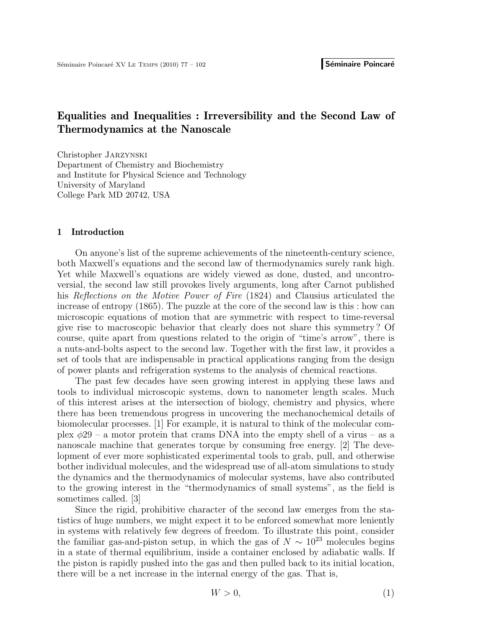# Equalities and Inequalities : Irreversibility and the Second Law of Thermodynamics at the Nanoscale

Christopher Jarzynski Department of Chemistry and Biochemistry and Institute for Physical Science and Technology University of Maryland College Park MD 20742, USA

## 1 Introduction

On anyone's list of the supreme achievements of the nineteenth-century science, both Maxwell's equations and the second law of thermodynamics surely rank high. Yet while Maxwell's equations are widely viewed as done, dusted, and uncontroversial, the second law still provokes lively arguments, long after Carnot published his Reflections on the Motive Power of Fire (1824) and Clausius articulated the increase of entropy (1865). The puzzle at the core of the second law is this : how can microscopic equations of motion that are symmetric with respect to time-reversal give rise to macroscopic behavior that clearly does not share this symmetry ? Of course, quite apart from questions related to the origin of "time's arrow", there is a nuts-and-bolts aspect to the second law. Together with the first law, it provides a set of tools that are indispensable in practical applications ranging from the design of power plants and refrigeration systems to the analysis of chemical reactions.

The past few decades have seen growing interest in applying these laws and tools to individual microscopic systems, down to nanometer length scales. Much of this interest arises at the intersection of biology, chemistry and physics, where there has been tremendous progress in uncovering the mechanochemical details of biomolecular processes. [1] For example, it is natural to think of the molecular complex  $\phi$ 29 – a motor protein that crams DNA into the empty shell of a virus – as a nanoscale machine that generates torque by consuming free energy. [2] The development of ever more sophisticated experimental tools to grab, pull, and otherwise bother individual molecules, and the widespread use of all-atom simulations to study the dynamics and the thermodynamics of molecular systems, have also contributed to the growing interest in the "thermodynamics of small systems", as the field is sometimes called. [3]

Since the rigid, prohibitive character of the second law emerges from the statistics of huge numbers, we might expect it to be enforced somewhat more leniently in systems with relatively few degrees of freedom. To illustrate this point, consider the familiar gas-and-piston setup, in which the gas of  $N \sim 10^{23}$  molecules begins in a state of thermal equilibrium, inside a container enclosed by adiabatic walls. If the piston is rapidly pushed into the gas and then pulled back to its initial location, there will be a net increase in the internal energy of the gas. That is,

$$
W > 0,\tag{1}
$$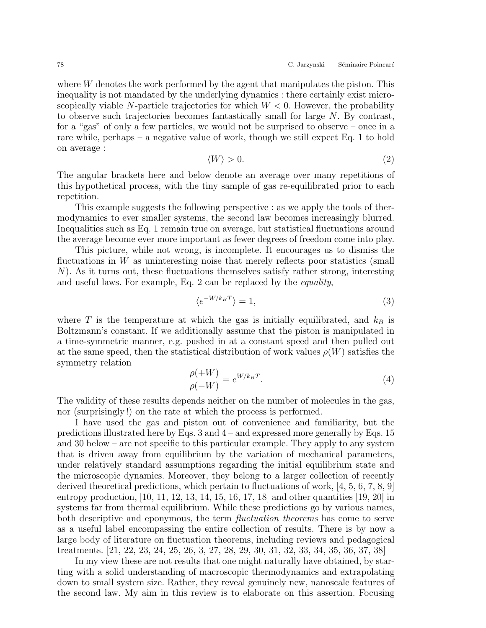where W denotes the work performed by the agent that manipulates the piston. This inequality is not mandated by the underlying dynamics : there certainly exist microscopically viable N-particle trajectories for which  $W < 0$ . However, the probability to observe such trajectories becomes fantastically small for large  $N$ . By contrast, for a "gas" of only a few particles, we would not be surprised to observe – once in a rare while, perhaps – a negative value of work, though we still expect Eq. 1 to hold on average :

$$
\langle W \rangle > 0. \tag{2}
$$

The angular brackets here and below denote an average over many repetitions of this hypothetical process, with the tiny sample of gas re-equilibrated prior to each repetition.

This example suggests the following perspective : as we apply the tools of thermodynamics to ever smaller systems, the second law becomes increasingly blurred. Inequalities such as Eq. 1 remain true on average, but statistical fluctuations around the average become ever more important as fewer degrees of freedom come into play.

This picture, while not wrong, is incomplete. It encourages us to dismiss the fluctuations in  $W$  as uninteresting noise that merely reflects poor statistics (small N). As it turns out, these fluctuations themselves satisfy rather strong, interesting and useful laws. For example, Eq. 2 can be replaced by the equality,

$$
\langle e^{-W/k_B T} \rangle = 1,\tag{3}
$$

where T is the temperature at which the gas is initially equilibrated, and  $k_B$  is Boltzmann's constant. If we additionally assume that the piston is manipulated in a time-symmetric manner, e.g. pushed in at a constant speed and then pulled out at the same speed, then the statistical distribution of work values  $\rho(W)$  satisfies the symmetry relation

$$
\frac{\rho(+W)}{\rho(-W)} = e^{W/k_B T}.\tag{4}
$$

The validity of these results depends neither on the number of molecules in the gas, nor (surprisingly !) on the rate at which the process is performed.

I have used the gas and piston out of convenience and familiarity, but the predictions illustrated here by Eqs. 3 and 4 – and expressed more generally by Eqs. 15 and 30 below – are not specific to this particular example. They apply to any system that is driven away from equilibrium by the variation of mechanical parameters, under relatively standard assumptions regarding the initial equilibrium state and the microscopic dynamics. Moreover, they belong to a larger collection of recently derived theoretical predictions, which pertain to fluctuations of work, [4, 5, 6, 7, 8, 9] entropy production, [10, 11, 12, 13, 14, 15, 16, 17, 18] and other quantities [19, 20] in systems far from thermal equilibrium. While these predictions go by various names, both descriptive and eponymous, the term *fluctuation theorems* has come to serve as a useful label encompassing the entire collection of results. There is by now a large body of literature on fluctuation theorems, including reviews and pedagogical treatments. [21, 22, 23, 24, 25, 26, 3, 27, 28, 29, 30, 31, 32, 33, 34, 35, 36, 37, 38]

In my view these are not results that one might naturally have obtained, by starting with a solid understanding of macroscopic thermodynamics and extrapolating down to small system size. Rather, they reveal genuinely new, nanoscale features of the second law. My aim in this review is to elaborate on this assertion. Focusing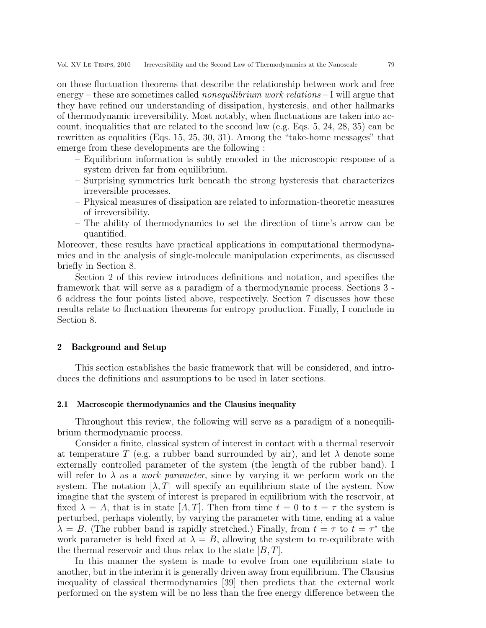on those fluctuation theorems that describe the relationship between work and free energy – these are sometimes called *nonequilibrium work relations* – I will argue that they have refined our understanding of dissipation, hysteresis, and other hallmarks of thermodynamic irreversibility. Most notably, when fluctuations are taken into account, inequalities that are related to the second law (e.g. Eqs. 5, 24, 28, 35) can be rewritten as equalities (Eqs. 15, 25, 30, 31). Among the "take-home messages" that emerge from these developments are the following :

- Equilibrium information is subtly encoded in the microscopic response of a system driven far from equilibrium.
- Surprising symmetries lurk beneath the strong hysteresis that characterizes irreversible processes.
- Physical measures of dissipation are related to information-theoretic measures of irreversibility.
- The ability of thermodynamics to set the direction of time's arrow can be quantified.

Moreover, these results have practical applications in computational thermodynamics and in the analysis of single-molecule manipulation experiments, as discussed briefly in Section 8.

Section 2 of this review introduces definitions and notation, and specifies the framework that will serve as a paradigm of a thermodynamic process. Sections 3 - 6 address the four points listed above, respectively. Section 7 discusses how these results relate to fluctuation theorems for entropy production. Finally, I conclude in Section 8.

## 2 Background and Setup

This section establishes the basic framework that will be considered, and introduces the definitions and assumptions to be used in later sections.

## 2.1 Macroscopic thermodynamics and the Clausius inequality

Throughout this review, the following will serve as a paradigm of a nonequilibrium thermodynamic process.

Consider a finite, classical system of interest in contact with a thermal reservoir at temperature T (e.g. a rubber band surrounded by air), and let  $\lambda$  denote some externally controlled parameter of the system (the length of the rubber band). I will refer to  $\lambda$  as a *work parameter*, since by varying it we perform work on the system. The notation  $[\lambda, T]$  will specify an equilibrium state of the system. Now imagine that the system of interest is prepared in equilibrium with the reservoir, at fixed  $\lambda = A$ , that is in state  $[A, T]$ . Then from time  $t = 0$  to  $t = \tau$  the system is perturbed, perhaps violently, by varying the parameter with time, ending at a value  $\lambda = B$ . (The rubber band is rapidly stretched.) Finally, from  $t = \tau$  to  $t = \tau^*$  the work parameter is held fixed at  $\lambda = B$ , allowing the system to re-equilibrate with the thermal reservoir and thus relax to the state  $[B, T]$ .

In this manner the system is made to evolve from one equilibrium state to another, but in the interim it is generally driven away from equilibrium. The Clausius inequality of classical thermodynamics [39] then predicts that the external work performed on the system will be no less than the free energy difference between the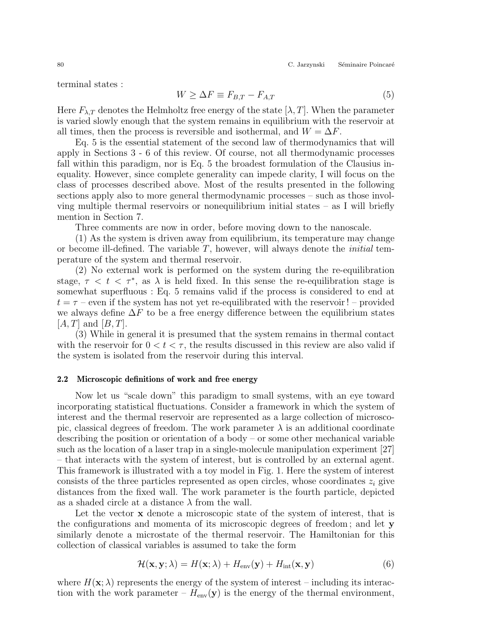80 C. Jarzynski Séminaire Poincaré

terminal states :

$$
W \ge \Delta F \equiv F_{B,T} - F_{A,T} \tag{5}
$$

Here  $F_{\lambda,T}$  denotes the Helmholtz free energy of the state  $[\lambda, T]$ . When the parameter is varied slowly enough that the system remains in equilibrium with the reservoir at all times, then the process is reversible and isothermal, and  $W = \Delta F$ .

Eq. 5 is the essential statement of the second law of thermodynamics that will apply in Sections 3 - 6 of this review. Of course, not all thermodynamic processes fall within this paradigm, nor is Eq. 5 the broadest formulation of the Clausius inequality. However, since complete generality can impede clarity, I will focus on the class of processes described above. Most of the results presented in the following sections apply also to more general thermodynamic processes – such as those involving multiple thermal reservoirs or nonequilibrium initial states  $-$  as I will briefly mention in Section 7.

Three comments are now in order, before moving down to the nanoscale.

(1) As the system is driven away from equilibrium, its temperature may change or become ill-defined. The variable  $T$ , however, will always denote the *initial* temperature of the system and thermal reservoir.

(2) No external work is performed on the system during the re-equilibration stage,  $\tau < t < \tau^*$ , as  $\lambda$  is held fixed. In this sense the re-equilibration stage is somewhat superfluous : Eq. 5 remains valid if the process is considered to end at  $t = \tau$  – even if the system has not yet re-equilibrated with the reservoir ! – provided we always define  $\Delta F$  to be a free energy difference between the equilibrium states  $[A, T]$  and  $[B, T]$ .

(3) While in general it is presumed that the system remains in thermal contact with the reservoir for  $0 < t < \tau$ , the results discussed in this review are also valid if the system is isolated from the reservoir during this interval.

## 2.2 Microscopic definitions of work and free energy

Now let us "scale down" this paradigm to small systems, with an eye toward incorporating statistical fluctuations. Consider a framework in which the system of interest and the thermal reservoir are represented as a large collection of microscopic, classical degrees of freedom. The work parameter  $\lambda$  is an additional coordinate describing the position or orientation of a body – or some other mechanical variable such as the location of a laser trap in a single-molecule manipulation experiment [27] – that interacts with the system of interest, but is controlled by an external agent. This framework is illustrated with a toy model in Fig. 1. Here the system of interest consists of the three particles represented as open circles, whose coordinates  $z_i$  give distances from the fixed wall. The work parameter is the fourth particle, depicted as a shaded circle at a distance  $\lambda$  from the wall.

Let the vector **x** denote a microscopic state of the system of interest, that is the configurations and momenta of its microscopic degrees of freedom ; and let y similarly denote a microstate of the thermal reservoir. The Hamiltonian for this collection of classical variables is assumed to take the form

$$
\mathcal{H}(\mathbf{x}, \mathbf{y}; \lambda) = H(\mathbf{x}; \lambda) + H_{\text{env}}(\mathbf{y}) + H_{\text{int}}(\mathbf{x}, \mathbf{y})
$$
(6)

where  $H(\mathbf{x}; \lambda)$  represents the energy of the system of interest – including its interaction with the work parameter –  $H_{\text{env}}(\mathbf{y})$  is the energy of the thermal environment,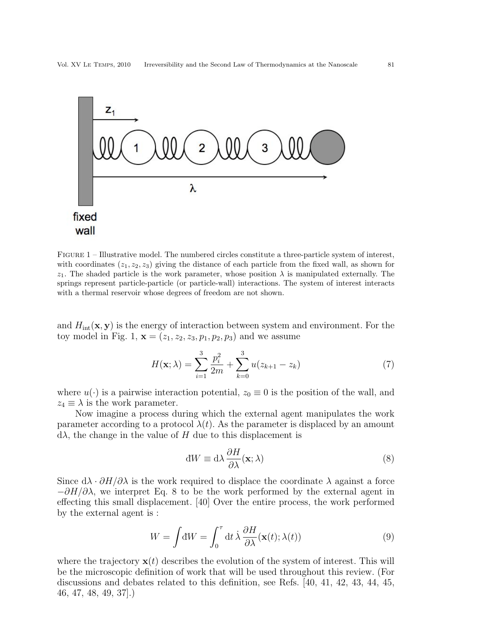

Figure 1 – Illustrative model. The numbered circles constitute a three-particle system of interest, with coordinates  $(z_1, z_2, z_3)$  giving the distance of each particle from the fixed wall, as shown for  $z_1$ . The shaded particle is the work parameter, whose position  $\lambda$  is manipulated externally. The springs represent particle-particle (or particle-wall) interactions. The system of interest interacts with a thermal reservoir whose degrees of freedom are not shown.

and  $H_{\text{int}}(\mathbf{x}, \mathbf{y})$  is the energy of interaction between system and environment. For the toy model in Fig. 1,  $\mathbf{x} = (z_1, z_2, z_3, p_1, p_2, p_3)$  and we assume

$$
H(\mathbf{x}; \lambda) = \sum_{i=1}^{3} \frac{p_i^2}{2m} + \sum_{k=0}^{3} u(z_{k+1} - z_k)
$$
(7)

where  $u(\cdot)$  is a pairwise interaction potential,  $z_0 \equiv 0$  is the position of the wall, and  $z_4 \equiv \lambda$  is the work parameter.

Now imagine a process during which the external agent manipulates the work parameter according to a protocol  $\lambda(t)$ . As the parameter is displaced by an amount  $d\lambda$ , the change in the value of H due to this displacement is

$$
dW \equiv d\lambda \frac{\partial H}{\partial \lambda}(\mathbf{x}; \lambda)
$$
 (8)

Since  $d\lambda \cdot \partial H/\partial \lambda$  is the work required to displace the coordinate  $\lambda$  against a force  $-\partial H/\partial\lambda$ , we interpret Eq. 8 to be the work performed by the external agent in effecting this small displacement. [40] Over the entire process, the work performed by the external agent is :

$$
W = \int dW = \int_0^{\tau} dt \,\dot{\lambda} \,\frac{\partial H}{\partial \lambda}(\mathbf{x}(t); \lambda(t)) \tag{9}
$$

where the trajectory  $\mathbf{x}(t)$  describes the evolution of the system of interest. This will be the microscopic definition of work that will be used throughout this review. (For discussions and debates related to this definition, see Refs. [40, 41, 42, 43, 44, 45, 46, 47, 48, 49, 37].)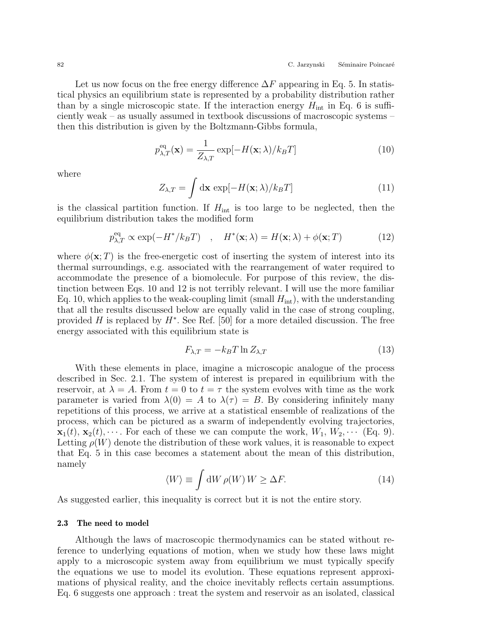Let us now focus on the free energy difference  $\Delta F$  appearing in Eq. 5. In statistical physics an equilibrium state is represented by a probability distribution rather than by a single microscopic state. If the interaction energy  $H_{\text{int}}$  in Eq. 6 is sufficiently weak – as usually assumed in textbook discussions of macroscopic systems – then this distribution is given by the Boltzmann-Gibbs formula,

$$
p_{\lambda,T}^{\text{eq}}(\mathbf{x}) = \frac{1}{Z_{\lambda,T}} \exp[-H(\mathbf{x}; \lambda) / k_B T] \tag{10}
$$

where

$$
Z_{\lambda,T} = \int \mathrm{d}\mathbf{x} \, \exp[-H(\mathbf{x};\lambda)/k_B T] \tag{11}
$$

is the classical partition function. If  $H_{\text{int}}$  is too large to be neglected, then the equilibrium distribution takes the modified form

$$
p_{\lambda,T}^{\text{eq}} \propto \exp(-H^* / k_B T) \quad , \quad H^*(\mathbf{x}; \lambda) = H(\mathbf{x}; \lambda) + \phi(\mathbf{x}; T) \tag{12}
$$

where  $\phi(\mathbf{x};T)$  is the free-energetic cost of inserting the system of interest into its thermal surroundings, e.g. associated with the rearrangement of water required to accommodate the presence of a biomolecule. For purpose of this review, the distinction between Eqs. 10 and 12 is not terribly relevant. I will use the more familiar Eq. 10, which applies to the weak-coupling limit (small  $H_{\text{int}}$ ), with the understanding that all the results discussed below are equally valid in the case of strong coupling, provided  $H$  is replaced by  $H^*$ . See Ref. [50] for a more detailed discussion. The free energy associated with this equilibrium state is

$$
F_{\lambda,T} = -k_B T \ln Z_{\lambda,T} \tag{13}
$$

With these elements in place, imagine a microscopic analogue of the process described in Sec. 2.1. The system of interest is prepared in equilibrium with the reservoir, at  $\lambda = A$ . From  $t = 0$  to  $t = \tau$  the system evolves with time as the work parameter is varied from  $\lambda(0) = A$  to  $\lambda(\tau) = B$ . By considering infinitely many repetitions of this process, we arrive at a statistical ensemble of realizations of the process, which can be pictured as a swarm of independently evolving trajectories,  $\mathbf{x}_1(t), \mathbf{x}_2(t), \cdots$ . For each of these we can compute the work,  $W_1, W_2, \cdots$  (Eq. 9). Letting  $\rho(W)$  denote the distribution of these work values, it is reasonable to expect that Eq. 5 in this case becomes a statement about the mean of this distribution, namely

$$
\langle W \rangle \equiv \int \mathrm{d}W \,\rho(W) \, W \ge \Delta F. \tag{14}
$$

As suggested earlier, this inequality is correct but it is not the entire story.

## 2.3 The need to model

Although the laws of macroscopic thermodynamics can be stated without reference to underlying equations of motion, when we study how these laws might apply to a microscopic system away from equilibrium we must typically specify the equations we use to model its evolution. These equations represent approximations of physical reality, and the choice inevitably reflects certain assumptions. Eq. 6 suggests one approach : treat the system and reservoir as an isolated, classical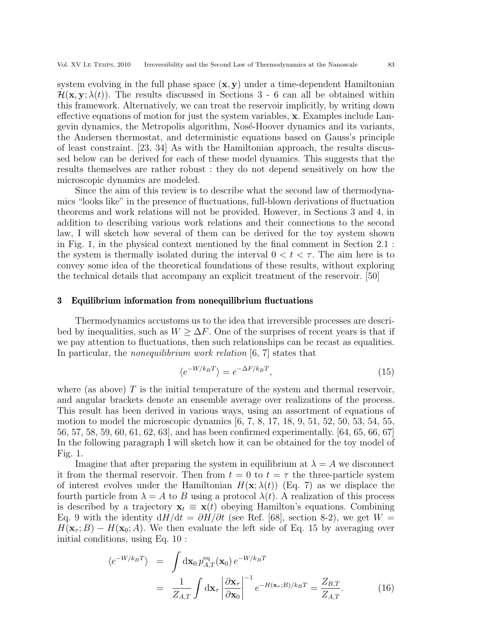system evolving in the full phase space  $(x, y)$  under a time-dependent Hamiltonian  $\mathcal{H}(\mathbf{x}, \mathbf{y}; \lambda(t))$ . The results discussed in Sections 3 - 6 can all be obtained within this framework. Alternatively, we can treat the reservoir implicitly, by writing down effective equations of motion for just the system variables, x. Examples include Langevin dynamics, the Metropolis algorithm, Nosé-Hoover dynamics and its variants, the Andersen thermostat, and deterministic equations based on Gauss's principle of least constraint. [23, 34] As with the Hamiltonian approach, the results discussed below can be derived for each of these model dynamics. This suggests that the results themselves are rather robust : they do not depend sensitively on how the microscopic dynamics are modeled.

Since the aim of this review is to describe what the second law of thermodynamics "looks like" in the presence of fluctuations, full-blown derivations of fluctuation theorems and work relations will not be provided. However, in Sections 3 and 4, in addition to describing various work relations and their connections to the second law, I will sketch how several of them can be derived for the toy system shown in Fig. 1, in the physical context mentioned by the final comment in Section 2.1 : the system is thermally isolated during the interval  $0 < t < \tau$ . The aim here is to convey some idea of the theoretical foundations of these results, without exploring the technical details that accompany an explicit treatment of the reservoir. [50]

#### 3 Equilibrium information from nonequilibrium fluctuations

Thermodynamics accustoms us to the idea that irreversible processes are described by inequalities, such as  $W \geq \Delta F$ . One of the surprises of recent years is that if we pay attention to fluctuations, then such relationships can be recast as equalities. In particular, the *nonequilibrium work relation* [6, 7] states that

$$
\langle e^{-W/k_B T} \rangle = e^{-\Delta F/k_B T},\tag{15}
$$

where (as above)  $T$  is the initial temperature of the system and thermal reservoir, and angular brackets denote an ensemble average over realizations of the process. This result has been derived in various ways, using an assortment of equations of motion to model the microscopic dynamics [6, 7, 8, 17, 18, 9, 51, 52, 50, 53, 54, 55, 56, 57, 58, 59, 60, 61, 62, 63], and has been confirmed experimentally. [64, 65, 66, 67] In the following paragraph I will sketch how it can be obtained for the toy model of Fig. 1.

Imagine that after preparing the system in equilibrium at  $\lambda = A$  we disconnect it from the thermal reservoir. Then from  $t = 0$  to  $t = \tau$  the three-particle system of interest evolves under the Hamiltonian  $H(\mathbf{x}; \lambda(t))$  (Eq. 7) as we displace the fourth particle from  $\lambda = A$  to B using a protocol  $\lambda(t)$ . A realization of this process is described by a trajectory  $\mathbf{x}_t \equiv \mathbf{x}(t)$  obeying Hamilton's equations. Combining Eq. 9 with the identity  $dH/dt = \partial H/\partial t$  (see Ref. [68], section 8-2), we get  $W =$  $H(\mathbf{x}_{\tau};B) - H(\mathbf{x}_{0};A)$ . We then evaluate the left side of Eq. 15 by averaging over initial conditions, using Eq. 10 :

$$
\langle e^{-W/k_B T} \rangle = \int d\mathbf{x}_0 p_{A,T}^{\text{eq}}(\mathbf{x}_0) e^{-W/k_B T}
$$

$$
= \frac{1}{Z_{A,T}} \int d\mathbf{x}_\tau \left| \frac{\partial \mathbf{x}_\tau}{\partial \mathbf{x}_0} \right|^{-1} e^{-H(\mathbf{x}_\tau; B)/k_B T} = \frac{Z_{B,T}}{Z_{A,T}}.
$$
(16)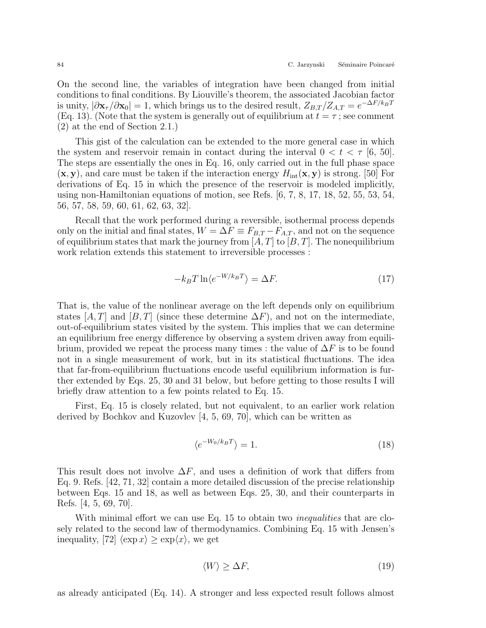On the second line, the variables of integration have been changed from initial conditions to final conditions. By Liouville's theorem, the associated Jacobian factor is unity,  $|\partial \mathbf{x}_{\tau}/\partial \mathbf{x}_0|=1$ , which brings us to the desired result,  $Z_{B,T}/Z_{A,T}=e^{-\Delta F/k_B T}$ (Eq. 13). (Note that the system is generally out of equilibrium at  $t = \tau$ ; see comment (2) at the end of Section 2.1.)

This gist of the calculation can be extended to the more general case in which the system and reservoir remain in contact during the interval  $0 < t < \tau$  [6, 50]. The steps are essentially the ones in Eq. 16, only carried out in the full phase space  $(\mathbf{x}, \mathbf{y})$ , and care must be taken if the interaction energy  $H_{\text{int}}(\mathbf{x}, \mathbf{y})$  is strong. [50] For derivations of Eq. 15 in which the presence of the reservoir is modeled implicitly, using non-Hamiltonian equations of motion, see Refs. [6, 7, 8, 17, 18, 52, 55, 53, 54, 56, 57, 58, 59, 60, 61, 62, 63, 32].

Recall that the work performed during a reversible, isothermal process depends only on the initial and final states,  $W = \Delta F \equiv F_{B,T} - F_{A,T}$ , and not on the sequence of equilibrium states that mark the journey from  $[A, T]$  to  $[B, T]$ . The nonequilibrium work relation extends this statement to irreversible processes :

$$
-k_B T \ln \langle e^{-W/k_B T} \rangle = \Delta F. \tag{17}
$$

That is, the value of the nonlinear average on the left depends only on equilibrium states [A, T] and [B, T] (since these determine  $\Delta F$ ), and not on the intermediate, out-of-equilibrium states visited by the system. This implies that we can determine an equilibrium free energy difference by observing a system driven away from equilibrium, provided we repeat the process many times : the value of  $\Delta F$  is to be found not in a single measurement of work, but in its statistical fluctuations. The idea that far-from-equilibrium fluctuations encode useful equilibrium information is further extended by Eqs. 25, 30 and 31 below, but before getting to those results I will briefly draw attention to a few points related to Eq. 15.

First, Eq. 15 is closely related, but not equivalent, to an earlier work relation derived by Bochkov and Kuzovlev [4, 5, 69, 70], which can be written as

$$
\langle e^{-W_0/k_B T} \rangle = 1. \tag{18}
$$

This result does not involve  $\Delta F$ , and uses a definition of work that differs from Eq. 9. Refs. [42, 71, 32] contain a more detailed discussion of the precise relationship between Eqs. 15 and 18, as well as between Eqs. 25, 30, and their counterparts in Refs. [4, 5, 69, 70].

With minimal effort we can use Eq. 15 to obtain two *inequalities* that are closely related to the second law of thermodynamics. Combining Eq. 15 with Jensen's inequality, [72]  $\langle \exp x \rangle \geq \exp\langle x \rangle$ , we get

$$
\langle W \rangle \ge \Delta F,\tag{19}
$$

as already anticipated (Eq. 14). A stronger and less expected result follows almost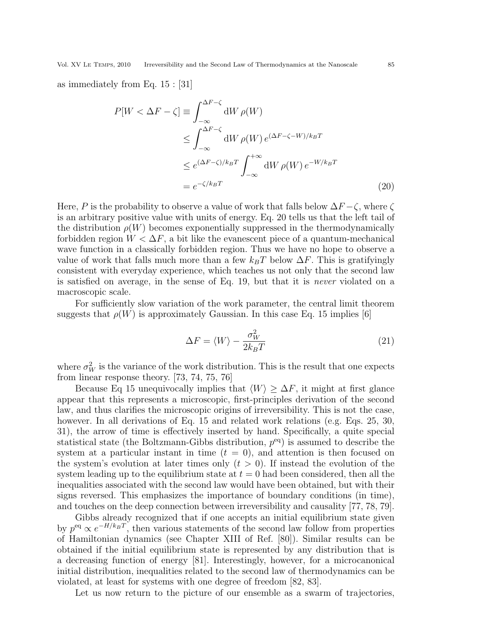as immediately from Eq. 15 : [31]

$$
P[W < \Delta F - \zeta] \equiv \int_{-\infty}^{\Delta F - \zeta} dW \, \rho(W)
$$
  
\n
$$
\leq \int_{-\infty}^{\Delta F - \zeta} dW \, \rho(W) e^{(\Delta F - \zeta - W)/k_B T}
$$
  
\n
$$
\leq e^{(\Delta F - \zeta)/k_B T} \int_{-\infty}^{+\infty} dW \, \rho(W) e^{-W/k_B T}
$$
  
\n
$$
= e^{-\zeta/k_B T}
$$
 (20)

Here, P is the probability to observe a value of work that falls below  $\Delta F - \zeta$ , where  $\zeta$ is an arbitrary positive value with units of energy. Eq. 20 tells us that the left tail of the distribution  $\rho(W)$  becomes exponentially suppressed in the thermodynamically forbidden region  $W < \Delta F$ , a bit like the evanescent piece of a quantum-mechanical wave function in a classically forbidden region. Thus we have no hope to observe a value of work that falls much more than a few  $k_BT$  below  $\Delta F$ . This is gratifyingly consistent with everyday experience, which teaches us not only that the second law is satisfied on average, in the sense of Eq. 19, but that it is never violated on a macroscopic scale.

For sufficiently slow variation of the work parameter, the central limit theorem suggests that  $\rho(W)$  is approximately Gaussian. In this case Eq. 15 implies [6]

$$
\Delta F = \langle W \rangle - \frac{\sigma_W^2}{2k_B T} \tag{21}
$$

where  $\sigma_W^2$  is the variance of the work distribution. This is the result that one expects from linear response theory. [73, 74, 75, 76]

Because Eq 15 unequivocally implies that  $\langle W \rangle \geq \Delta F$ , it might at first glance appear that this represents a microscopic, first-principles derivation of the second law, and thus clarifies the microscopic origins of irreversibility. This is not the case, however. In all derivations of Eq. 15 and related work relations (e.g. Eqs. 25, 30, 31), the arrow of time is effectively inserted by hand. Specifically, a quite special statistical state (the Boltzmann-Gibbs distribution,  $p^{eq}$ ) is assumed to describe the system at a particular instant in time  $(t = 0)$ , and attention is then focused on the system's evolution at later times only  $(t > 0)$ . If instead the evolution of the system leading up to the equilibrium state at  $t = 0$  had been considered, then all the inequalities associated with the second law would have been obtained, but with their signs reversed. This emphasizes the importance of boundary conditions (in time), and touches on the deep connection between irreversibility and causality [77, 78, 79].

Gibbs already recognized that if one accepts an initial equilibrium state given by  $p^{eq} \propto e^{-H/k_BT}$ , then various statements of the second law follow from properties of Hamiltonian dynamics (see Chapter XIII of Ref. [80]). Similar results can be obtained if the initial equilibrium state is represented by any distribution that is a decreasing function of energy [81]. Interestingly, however, for a microcanonical initial distribution, inequalities related to the second law of thermodynamics can be violated, at least for systems with one degree of freedom [82, 83].

Let us now return to the picture of our ensemble as a swarm of trajectories,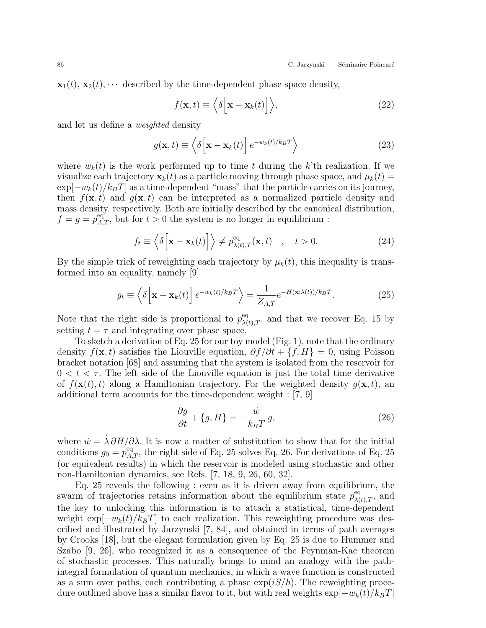$\mathbf{x}_1(t), \mathbf{x}_2(t), \cdots$  described by the time-dependent phase space density,

$$
f(\mathbf{x},t) \equiv \left\langle \delta \left[ \mathbf{x} - \mathbf{x}_k(t) \right] \right\rangle, \tag{22}
$$

and let us define a weighted density

$$
g(\mathbf{x},t) \equiv \left\langle \delta \left[ \mathbf{x} - \mathbf{x}_k(t) \right] e^{-w_k(t)/k_B T} \right\rangle \tag{23}
$$

where  $w_k(t)$  is the work performed up to time t during the k'th realization. If we visualize each trajectory  $\mathbf{x}_k(t)$  as a particle moving through phase space, and  $\mu_k(t)$  =  $\exp[-w_k(t)/k_BT]$  as a time-dependent "mass" that the particle carries on its journey, then  $f(\mathbf{x}, t)$  and  $g(\mathbf{x}, t)$  can be interpreted as a normalized particle density and mass density, respectively. Both are initially described by the canonical distribution,  $f = g = p_{A,T}^{\text{eq}}$ , but for  $t > 0$  the system is no longer in equilibrium:

$$
f_t \equiv \left\langle \delta \left[ \mathbf{x} - \mathbf{x}_k(t) \right] \right\rangle \neq p_{\lambda(t),T}^{\text{eq}}(\mathbf{x}, t) \quad , \quad t > 0. \tag{24}
$$

By the simple trick of reweighting each trajectory by  $\mu_k(t)$ , this inequality is transformed into an equality, namely [9]

$$
g_t \equiv \left\langle \delta \left( \mathbf{x} - \mathbf{x}_k(t) \right) e^{-w_k(t)/k_B T} \right\rangle = \frac{1}{Z_{A,T}} e^{-H(\mathbf{x}; \lambda(t))/k_B T}.
$$
 (25)

Note that the right side is proportional to  $p_{\lambda(t),T}^{\text{eq}}$ , and that we recover Eq. 15 by setting  $t = \tau$  and integrating over phase space.

To sketch a derivation of Eq. 25 for our toy model (Fig. 1), note that the ordinary density  $f(\mathbf{x}, t)$  satisfies the Liouville equation,  $\partial f/\partial t + \{f, H\} = 0$ , using Poisson bracket notation [68] and assuming that the system is isolated from the reservoir for  $0 < t < \tau$ . The left side of the Liouville equation is just the total time derivative of  $f(\mathbf{x}(t), t)$  along a Hamiltonian trajectory. For the weighted density  $q(\mathbf{x}, t)$ , an additional term accounts for the time-dependent weight : [7, 9]

$$
\frac{\partial g}{\partial t} + \{g, H\} = -\frac{\dot{w}}{k_B T} g,\tag{26}
$$

where  $\dot{w} = \dot{\lambda} \partial H / \partial \lambda$ . It is now a matter of substitution to show that for the initial conditions  $g_0 = p_{A,T}^{\text{eq}}$ , the right side of Eq. 25 solves Eq. 26. For derivations of Eq. 25 (or equivalent results) in which the reservoir is modeled using stochastic and other non-Hamiltonian dynamics, see Refs. [7, 18, 9, 26, 60, 32].

Eq. 25 reveals the following : even as it is driven away from equilibrium, the swarm of trajectories retains information about the equilibrium state  $p_{\lambda(t),T}^{\text{eq}}$ , and the key to unlocking this information is to attach a statistical, time-dependent weight  $\exp[-w_k(t)/k_BT]$  to each realization. This reweighting procedure was described and illustrated by Jarzynski [7, 84], and obtained in terms of path averages by Crooks [18], but the elegant formulation given by Eq. 25 is due to Hummer and Szabo [9, 26], who recognized it as a consequence of the Feynman-Kac theorem of stochastic processes. This naturally brings to mind an analogy with the pathintegral formulation of quantum mechanics, in which a wave function is constructed as a sum over paths, each contributing a phase  $\exp(iS/\hbar)$ . The reweighting procedure outlined above has a similar flavor to it, but with real weights  $\exp[-w_k(t)/k_BT]$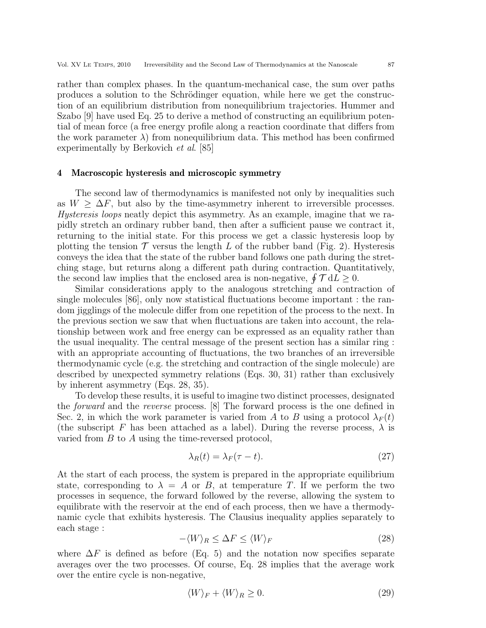rather than complex phases. In the quantum-mechanical case, the sum over paths produces a solution to the Schrödinger equation, while here we get the construction of an equilibrium distribution from nonequilibrium trajectories. Hummer and Szabo [9] have used Eq. 25 to derive a method of constructing an equilibrium potential of mean force (a free energy profile along a reaction coordinate that differs from the work parameter  $\lambda$ ) from nonequilibrium data. This method has been confirmed experimentally by Berkovich et al. [85]

#### 4 Macroscopic hysteresis and microscopic symmetry

The second law of thermodynamics is manifested not only by inequalities such as  $W > \Delta F$ , but also by the time-asymmetry inherent to irreversible processes. Hysteresis loops neatly depict this asymmetry. As an example, imagine that we rapidly stretch an ordinary rubber band, then after a sufficient pause we contract it, returning to the initial state. For this process we get a classic hysteresis loop by plotting the tension  $\mathcal T$  versus the length L of the rubber band (Fig. 2). Hysteresis conveys the idea that the state of the rubber band follows one path during the stretching stage, but returns along a different path during contraction. Quantitatively, the second law implies that the enclosed area is non-negative,  $\oint \mathcal{T} dL \geq 0$ .

Similar considerations apply to the analogous stretching and contraction of single molecules [86], only now statistical fluctuations become important : the random jigglings of the molecule differ from one repetition of the process to the next. In the previous section we saw that when fluctuations are taken into account, the relationship between work and free energy can be expressed as an equality rather than the usual inequality. The central message of the present section has a similar ring : with an appropriate accounting of fluctuations, the two branches of an irreversible thermodynamic cycle (e.g. the stretching and contraction of the single molecule) are described by unexpected symmetry relations (Eqs. 30, 31) rather than exclusively by inherent asymmetry (Eqs. 28, 35).

To develop these results, it is useful to imagine two distinct processes, designated the forward and the reverse process. [8] The forward process is the one defined in Sec. 2, in which the work parameter is varied from A to B using a protocol  $\lambda_F(t)$ (the subscript F has been attached as a label). During the reverse process,  $\lambda$  is varied from B to A using the time-reversed protocol,

$$
\lambda_R(t) = \lambda_F(\tau - t). \tag{27}
$$

At the start of each process, the system is prepared in the appropriate equilibrium state, corresponding to  $\lambda = A$  or B, at temperature T. If we perform the two processes in sequence, the forward followed by the reverse, allowing the system to equilibrate with the reservoir at the end of each process, then we have a thermodynamic cycle that exhibits hysteresis. The Clausius inequality applies separately to each stage :

$$
-\langle W \rangle_R \le \Delta F \le \langle W \rangle_F \tag{28}
$$

where  $\Delta F$  is defined as before (Eq. 5) and the notation now specifies separate averages over the two processes. Of course, Eq. 28 implies that the average work over the entire cycle is non-negative,

$$
\langle W \rangle_F + \langle W \rangle_R \ge 0. \tag{29}
$$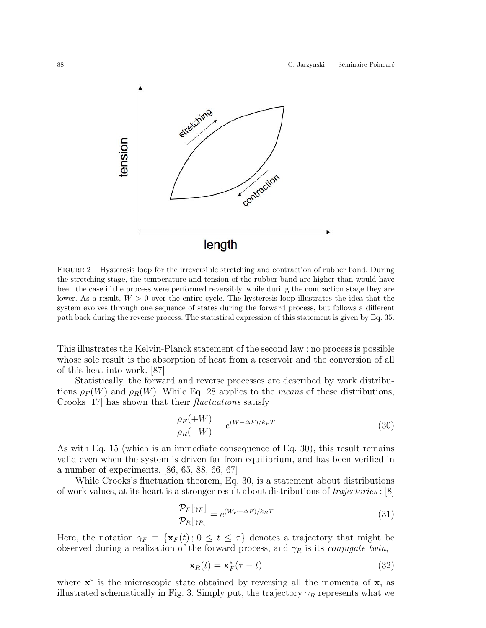

Figure 2 – Hysteresis loop for the irreversible stretching and contraction of rubber band. During the stretching stage, the temperature and tension of the rubber band are higher than would have been the case if the process were performed reversibly, while during the contraction stage they are lower. As a result,  $W > 0$  over the entire cycle. The hysteresis loop illustrates the idea that the system evolves through one sequence of states during the forward process, but follows a different path back during the reverse process. The statistical expression of this statement is given by Eq. 35.

This illustrates the Kelvin-Planck statement of the second law : no process is possible whose sole result is the absorption of heat from a reservoir and the conversion of all of this heat into work. [87]

Statistically, the forward and reverse processes are described by work distributions  $\rho_F(W)$  and  $\rho_R(W)$ . While Eq. 28 applies to the *means* of these distributions, Crooks [17] has shown that their fluctuations satisfy

$$
\frac{\rho_F(+W)}{\rho_R(-W)} = e^{(W-\Delta F)/k_B T} \tag{30}
$$

As with Eq. 15 (which is an immediate consequence of Eq. 30), this result remains valid even when the system is driven far from equilibrium, and has been verified in a number of experiments. [86, 65, 88, 66, 67]

While Crooks's fluctuation theorem, Eq. 30, is a statement about distributions of work values, at its heart is a stronger result about distributions of trajectories : [8]

$$
\frac{\mathcal{P}_F[\gamma_F]}{\mathcal{P}_R[\gamma_R]} = e^{(W_F - \Delta F)/k_B T} \tag{31}
$$

Here, the notation  $\gamma_F \equiv {\mathbf{x}_F(t)}$ ;  $0 \le t \le \tau$  denotes a trajectory that might be observed during a realization of the forward process, and  $\gamma_R$  is its *conjugate twin*,

$$
\mathbf{x}_R(t) = \mathbf{x}_F^*(\tau - t) \tag{32}
$$

where  $\mathbf{x}^*$  is the microscopic state obtained by reversing all the momenta of  $\mathbf{x}$ , as illustrated schematically in Fig. 3. Simply put, the trajectory  $\gamma_R$  represents what we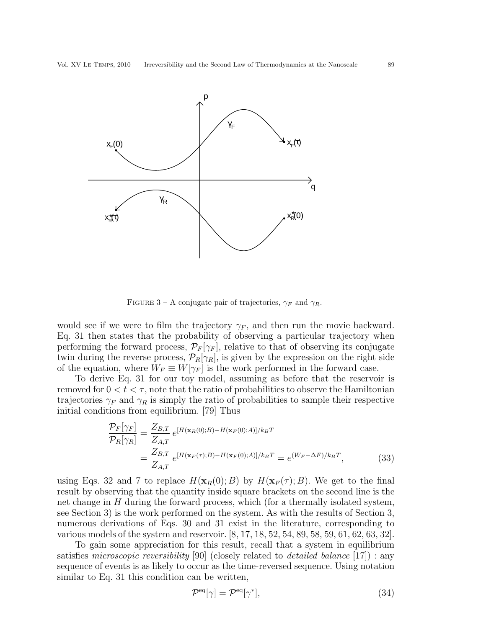

FIGURE 3 – A conjugate pair of trajectories,  $\gamma_F$  and  $\gamma_R$ .

would see if we were to film the trajectory  $\gamma_F$ , and then run the movie backward. Eq. 31 then states that the probability of observing a particular trajectory when performing the forward process,  $\mathcal{P}_F[\gamma_F]$ , relative to that of observing its conjugate twin during the reverse process,  $\mathcal{P}_R[\gamma_R]$ , is given by the expression on the right side of the equation, where  $W_F \equiv W[\gamma_F]$  is the work performed in the forward case.

To derive Eq. 31 for our toy model, assuming as before that the reservoir is removed for  $0 < t < \tau$ , note that the ratio of probabilities to observe the Hamiltonian trajectories  $\gamma_F$  and  $\gamma_R$  is simply the ratio of probabilities to sample their respective initial conditions from equilibrium. [79] Thus

$$
\frac{\mathcal{P}_F[\gamma_F]}{\mathcal{P}_R[\gamma_R]} = \frac{Z_{B,T}}{Z_{A,T}} e^{[H(\mathbf{x}_R(0);B) - H(\mathbf{x}_F(0);A)]/k_B T}
$$
\n
$$
= \frac{Z_{B,T}}{Z_{A,T}} e^{[H(\mathbf{x}_F(\tau);B) - H(\mathbf{x}_F(0);A)]/k_B T} = e^{(W_F - \Delta F)/k_B T},
$$
\n(33)

using Eqs. 32 and 7 to replace  $H(\mathbf{x}_R(0); B)$  by  $H(\mathbf{x}_F(\tau); B)$ . We get to the final result by observing that the quantity inside square brackets on the second line is the net change in H during the forward process, which (for a thermally isolated system, see Section 3) is the work performed on the system. As with the results of Section 3, numerous derivations of Eqs. 30 and 31 exist in the literature, corresponding to various models of the system and reservoir. [8, 17, 18, 52, 54, 89, 58, 59, 61, 62, 63, 32].

To gain some appreciation for this result, recall that a system in equilibrium satisfies microscopic reversibility [90] (closely related to detailed balance [17]) : any sequence of events is as likely to occur as the time-reversed sequence. Using notation similar to Eq. 31 this condition can be written,

$$
\mathcal{P}^{\text{eq}}[\gamma] = \mathcal{P}^{\text{eq}}[\gamma^*],\tag{34}
$$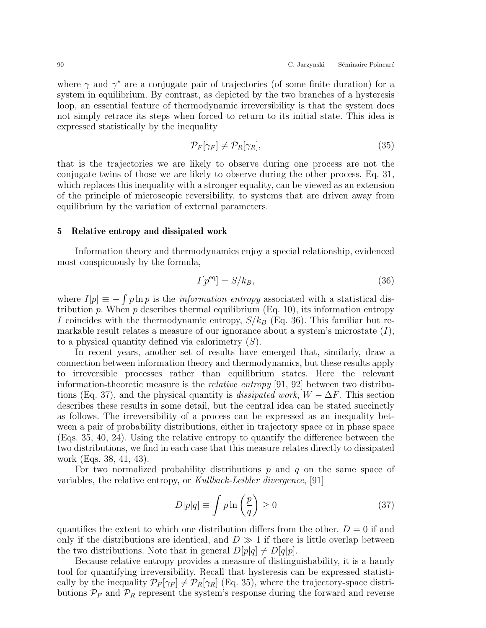where  $\gamma$  and  $\gamma^*$  are a conjugate pair of trajectories (of some finite duration) for a system in equilibrium. By contrast, as depicted by the two branches of a hysteresis loop, an essential feature of thermodynamic irreversibility is that the system does not simply retrace its steps when forced to return to its initial state. This idea is expressed statistically by the inequality

$$
\mathcal{P}_F[\gamma_F] \neq \mathcal{P}_R[\gamma_R],\tag{35}
$$

that is the trajectories we are likely to observe during one process are not the conjugate twins of those we are likely to observe during the other process. Eq. 31, which replaces this inequality with a stronger equality, can be viewed as an extension of the principle of microscopic reversibility, to systems that are driven away from equilibrium by the variation of external parameters.

## 5 Relative entropy and dissipated work

Information theory and thermodynamics enjoy a special relationship, evidenced most conspicuously by the formula,

$$
I[p^{\text{eq}}] = S/k_B,\tag{36}
$$

where  $I[p] \equiv -\int p \ln p$  is the *information entropy* associated with a statistical distribution p. When p describes thermal equilibrium (Eq. 10), its information entropy I coincides with the thermodynamic entropy,  $S/k_B$  (Eq. 36). This familiar but remarkable result relates a measure of our ignorance about a system's microstate  $(I)$ , to a physical quantity defined via calorimetry  $(S)$ .

In recent years, another set of results have emerged that, similarly, draw a connection between information theory and thermodynamics, but these results apply to irreversible processes rather than equilibrium states. Here the relevant information-theoretic measure is the *relative entropy* [91, 92] between two distributions (Eq. 37), and the physical quantity is *dissipated work*,  $W - \Delta F$ . This section describes these results in some detail, but the central idea can be stated succinctly as follows. The irreversibility of a process can be expressed as an inequality between a pair of probability distributions, either in trajectory space or in phase space (Eqs. 35, 40, 24). Using the relative entropy to quantify the difference between the two distributions, we find in each case that this measure relates directly to dissipated work (Eqs. 38, 41, 43).

For two normalized probability distributions  $p$  and  $q$  on the same space of variables, the relative entropy, or Kullback-Leibler divergence, [91]

$$
D[p|q] \equiv \int p \ln\left(\frac{p}{q}\right) \ge 0 \tag{37}
$$

quantifies the extent to which one distribution differs from the other.  $D = 0$  if and only if the distributions are identical, and  $D \gg 1$  if there is little overlap between the two distributions. Note that in general  $D[p|q] \neq D[q|p]$ .

Because relative entropy provides a measure of distinguishability, it is a handy tool for quantifying irreversibility. Recall that hysteresis can be expressed statistically by the inequality  $\mathcal{P}_F[\gamma_F] \neq \mathcal{P}_R[\gamma_R]$  (Eq. 35), where the trajectory-space distributions  $P_F$  and  $P_R$  represent the system's response during the forward and reverse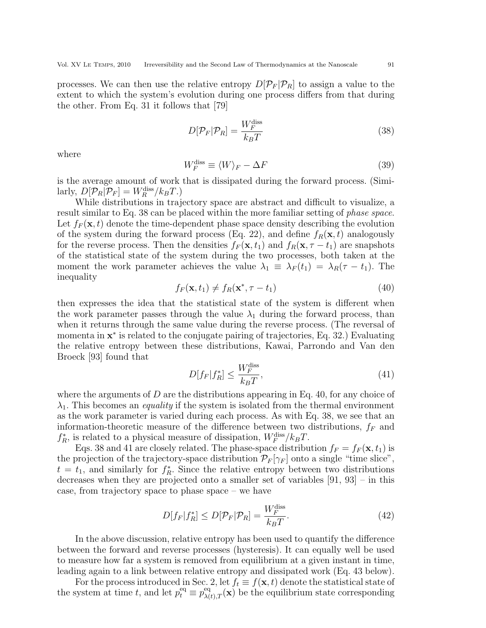processes. We can then use the relative entropy  $D[\mathcal{P}_F]\mathcal{P}_R]$  to assign a value to the extent to which the system's evolution during one process differs from that during the other. From Eq. 31 it follows that [79]

$$
D[\mathcal{P}_F|\mathcal{P}_R] = \frac{W_F^{\text{diss}}}{k_B T} \tag{38}
$$

where

$$
W_F^{\text{diss}} \equiv \langle W \rangle_F - \Delta F \tag{39}
$$

is the average amount of work that is dissipated during the forward process. (Similarly,  $D[\mathcal{P}_R|\mathcal{P}_F] = W_R^{\text{diss}}/k_B T$ .)

While distributions in trajectory space are abstract and difficult to visualize, a result similar to Eq. 38 can be placed within the more familiar setting of phase space. Let  $f_F(\mathbf{x}, t)$  denote the time-dependent phase space density describing the evolution of the system during the forward process (Eq. 22), and define  $f_R(\mathbf{x}, t)$  analogously for the reverse process. Then the densities  $f_F(\mathbf{x}, t_1)$  and  $f_R(\mathbf{x}, \tau - t_1)$  are snapshots of the statistical state of the system during the two processes, both taken at the moment the work parameter achieves the value  $\lambda_1 \equiv \lambda_F(t_1) = \lambda_R(\tau - t_1)$ . The inequality

$$
f_F(\mathbf{x}, t_1) \neq f_R(\mathbf{x}^*, \tau - t_1) \tag{40}
$$

then expresses the idea that the statistical state of the system is different when the work parameter passes through the value  $\lambda_1$  during the forward process, than when it returns through the same value during the reverse process. (The reversal of momenta in  $x^*$  is related to the conjugate pairing of trajectories, Eq. 32.) Evaluating the relative entropy between these distributions, Kawai, Parrondo and Van den Broeck [93] found that

$$
D[f_F|f_R^*] \le \frac{W_F^{\text{diss}}}{k_B T},\tag{41}
$$

where the arguments of  $D$  are the distributions appearing in Eq. 40, for any choice of  $\lambda_1$ . This becomes an *equality* if the system is isolated from the thermal environment as the work parameter is varied during each process. As with Eq. 38, we see that an information-theoretic measure of the difference between two distributions,  $f_F$  and  $f_R^*$ , is related to a physical measure of dissipation,  $W_F^{\text{diss}}/k_B T$ .

Eqs. 38 and 41 are closely related. The phase-space distribution  $f_F = f_F(\mathbf{x}, t_1)$  is the projection of the trajectory-space distribution  $\mathcal{P}_F[\gamma_F]$  onto a single "time slice",  $t = t_1$ , and similarly for  $f_R^*$ . Since the relative entropy between two distributions decreases when they are projected onto a smaller set of variables [91, 93] – in this case, from trajectory space to phase space – we have

$$
D[f_F|f_R^*] \le D[\mathcal{P}_F|\mathcal{P}_R] = \frac{W_F^{\text{diss}}}{k_B T}.
$$
\n(42)

In the above discussion, relative entropy has been used to quantify the difference between the forward and reverse processes (hysteresis). It can equally well be used to measure how far a system is removed from equilibrium at a given instant in time, leading again to a link between relative entropy and dissipated work (Eq. 43 below).

For the process introduced in Sec. 2, let  $f_t \equiv f(\mathbf{x}, t)$  denote the statistical state of the system at time t, and let  $p_t^{eq} \equiv p_{\lambda(t),T}^{eq}(\mathbf{x})$  be the equilibrium state corresponding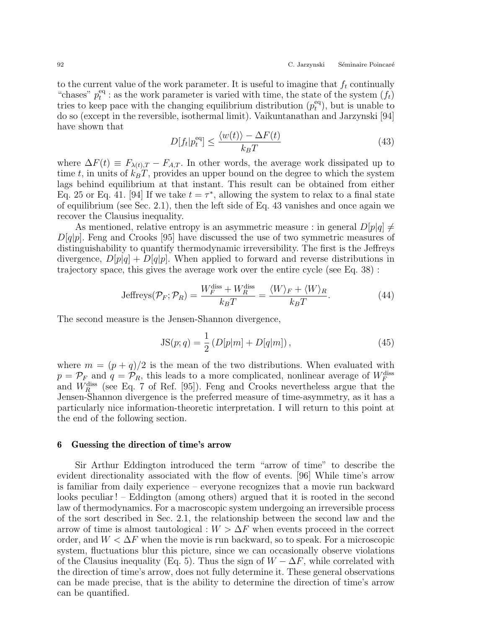to the current value of the work parameter. It is useful to imagine that  $f_t$  continually "chases"  $p_t^{\text{eq}}$  $t_t^{\text{eq}}$ : as the work parameter is varied with time, the state of the system  $(f_t)$ tries to keep pace with the changing equilibrium distribution  $(p_t^{\text{eq}})$  $_t^{\text{eq}}$ , but is unable to do so (except in the reversible, isothermal limit). Vaikuntanathan and Jarzynski [94] have shown that

$$
D[f_t|p_t^{\text{eq}}] \le \frac{\langle w(t) \rangle - \Delta F(t)}{k_B T} \tag{43}
$$

where  $\Delta F(t) \equiv F_{\lambda(t),T} - F_{A,T}$ . In other words, the average work dissipated up to time t, in units of  $k_BT$ , provides an upper bound on the degree to which the system lags behind equilibrium at that instant. This result can be obtained from either Eq. 25 or Eq. 41. [94] If we take  $t = \tau^*$ , allowing the system to relax to a final state of equilibrium (see Sec. 2.1), then the left side of Eq. 43 vanishes and once again we recover the Clausius inequality.

As mentioned, relative entropy is an asymmetric measure : in general  $D[p|q] \neq$  $D[q|p]$ . Feng and Crooks [95] have discussed the use of two symmetric measures of distinguishability to quantify thermodynamic irreversibility. The first is the Jeffreys divergence,  $D[p|q] + D[q|p]$ . When applied to forward and reverse distributions in trajectory space, this gives the average work over the entire cycle (see Eq. 38) :

Jeffreys
$$
(\mathcal{P}_F; \mathcal{P}_R)
$$
 =  $\frac{W_F^{\text{diss}} + W_R^{\text{diss}}}{k_B T} = \frac{\langle W \rangle_F + \langle W \rangle_R}{k_B T}$ . (44)

The second measure is the Jensen-Shannon divergence,

$$
JS(p;q) = \frac{1}{2} (D[p|m] + D[q|m]), \qquad (45)
$$

where  $m = (p + q)/2$  is the mean of the two distributions. When evaluated with  $p = \mathcal{P}_{F}$  and  $q = \mathcal{P}_{R}$ , this leads to a more complicated, nonlinear average of  $W_{F}^{\text{diss}}$ and  $W_R^{\text{diss}}$  (see Eq. 7 of Ref. [95]). Feng and Crooks nevertheless argue that the Jensen-Shannon divergence is the preferred measure of time-asymmetry, as it has a particularly nice information-theoretic interpretation. I will return to this point at the end of the following section.

## 6 Guessing the direction of time's arrow

Sir Arthur Eddington introduced the term "arrow of time" to describe the evident directionality associated with the flow of events. [96] While time's arrow is familiar from daily experience – everyone recognizes that a movie run backward looks peculiar ! – Eddington (among others) argued that it is rooted in the second law of thermodynamics. For a macroscopic system undergoing an irreversible process of the sort described in Sec. 2.1, the relationship between the second law and the arrow of time is almost tautological :  $W > \Delta F$  when events proceed in the correct order, and  $W < \Delta F$  when the movie is run backward, so to speak. For a microscopic system, fluctuations blur this picture, since we can occasionally observe violations of the Clausius inequality (Eq. 5). Thus the sign of  $W - \Delta F$ , while correlated with the direction of time's arrow, does not fully determine it. These general observations can be made precise, that is the ability to determine the direction of time's arrow can be quantified.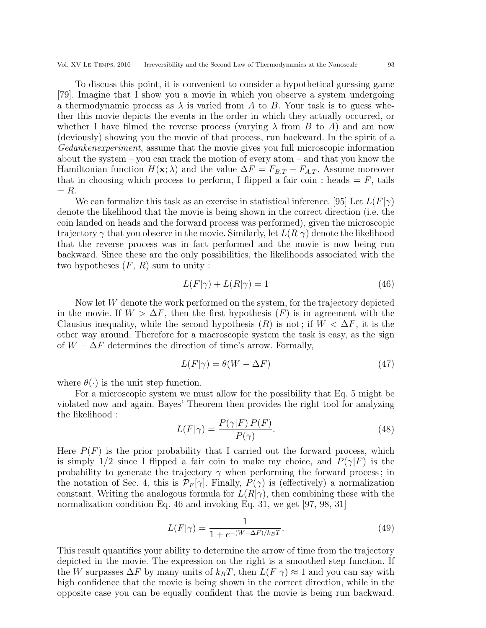Vol. XV Le Temps, 2010 Irreversibility and the Second Law of Thermodynamics at the Nanoscale 93

To discuss this point, it is convenient to consider a hypothetical guessing game [79]. Imagine that I show you a movie in which you observe a system undergoing a thermodynamic process as  $\lambda$  is varied from A to B. Your task is to guess whether this movie depicts the events in the order in which they actually occurred, or whether I have filmed the reverse process (varying  $\lambda$  from B to A) and am now (deviously) showing you the movie of that process, run backward. In the spirit of a Gedankenexperiment, assume that the movie gives you full microscopic information about the system – you can track the motion of every atom – and that you know the Hamiltonian function  $H(\mathbf{x}; \lambda)$  and the value  $\Delta F = F_{B,T} - F_{A,T}$ . Assume moreover that in choosing which process to perform, I flipped a fair coin : heads  $= F$ , tails  $= R$ .

We can formalize this task as an exercise in statistical inference. [95] Let  $L(F|\gamma)$ denote the likelihood that the movie is being shown in the correct direction (i.e. the coin landed on heads and the forward process was performed), given the microscopic trajectory  $\gamma$  that you observe in the movie. Similarly, let  $L(R|\gamma)$  denote the likelihood that the reverse process was in fact performed and the movie is now being run backward. Since these are the only possibilities, the likelihoods associated with the two hypotheses  $(F, R)$  sum to unity:

$$
L(F|\gamma) + L(R|\gamma) = 1\tag{46}
$$

Now let W denote the work performed on the system, for the trajectory depicted in the movie. If  $W > \Delta F$ , then the first hypothesis  $(F)$  is in agreement with the Clausius inequality, while the second hypothesis  $(R)$  is not; if  $W < \Delta F$ , it is the other way around. Therefore for a macroscopic system the task is easy, as the sign of  $W - \Delta F$  determines the direction of time's arrow. Formally,

$$
L(F|\gamma) = \theta(W - \Delta F) \tag{47}
$$

where  $\theta(\cdot)$  is the unit step function.

For a microscopic system we must allow for the possibility that Eq. 5 might be violated now and again. Bayes' Theorem then provides the right tool for analyzing the likelihood :

$$
L(F|\gamma) = \frac{P(\gamma|F) P(F)}{P(\gamma)}.
$$
\n(48)

Here  $P(F)$  is the prior probability that I carried out the forward process, which is simply  $1/2$  since I flipped a fair coin to make my choice, and  $P(\gamma|F)$  is the probability to generate the trajectory  $\gamma$  when performing the forward process; in the notation of Sec. 4, this is  $\mathcal{P}_F[\gamma]$ . Finally,  $P(\gamma)$  is (effectively) a normalization constant. Writing the analogous formula for  $L(R|\gamma)$ , then combining these with the normalization condition Eq. 46 and invoking Eq. 31, we get [97, 98, 31]

$$
L(F|\gamma) = \frac{1}{1 + e^{-(W - \Delta F)/k_B T}}.\tag{49}
$$

This result quantifies your ability to determine the arrow of time from the trajectory depicted in the movie. The expression on the right is a smoothed step function. If the W surpasses  $\Delta F$  by many units of  $k_BT$ , then  $L(F|\gamma) \approx 1$  and you can say with high confidence that the movie is being shown in the correct direction, while in the opposite case you can be equally confident that the movie is being run backward.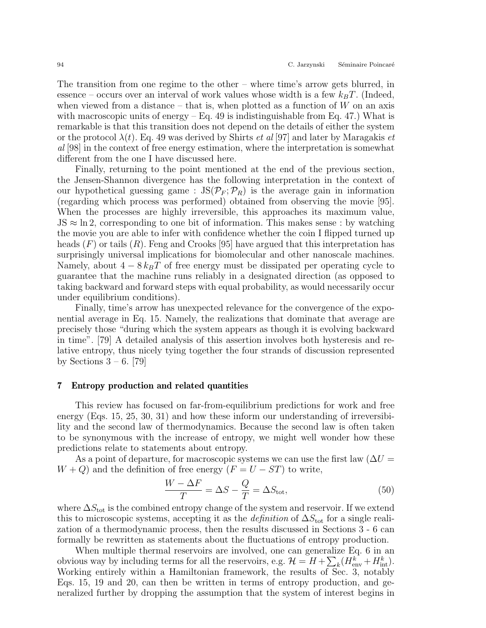The transition from one regime to the other – where time's arrow gets blurred, in essence – occurs over an interval of work values whose width is a few  $k_BT$ . (Indeed, when viewed from a distance – that is, when plotted as a function of  $W$  on an axis with macroscopic units of energy  $-$  Eq. 49 is indistinguishable from Eq. 47.) What is remarkable is that this transition does not depend on the details of either the system or the protocol  $\lambda(t)$ . Eq. 49 was derived by Shirts *et al* [97] and later by Maragakis *et* al [98] in the context of free energy estimation, where the interpretation is somewhat different from the one I have discussed here.

Finally, returning to the point mentioned at the end of the previous section, the Jensen-Shannon divergence has the following interpretation in the context of our hypothetical guessing game :  $JS(\mathcal{P}_F; \mathcal{P}_R)$  is the average gain in information (regarding which process was performed) obtained from observing the movie [95]. When the processes are highly irreversible, this approaches its maximum value,  $JS \approx \ln 2$ , corresponding to one bit of information. This makes sense : by watching the movie you are able to infer with confidence whether the coin I flipped turned up heads  $(F)$  or tails  $(R)$ . Feng and Crooks [95] have argued that this interpretation has surprisingly universal implications for biomolecular and other nanoscale machines. Namely, about  $4 - 8 k_B T$  of free energy must be dissipated per operating cycle to guarantee that the machine runs reliably in a designated direction (as opposed to taking backward and forward steps with equal probability, as would necessarily occur under equilibrium conditions).

Finally, time's arrow has unexpected relevance for the convergence of the exponential average in Eq. 15. Namely, the realizations that dominate that average are precisely those "during which the system appears as though it is evolving backward in time". [79] A detailed analysis of this assertion involves both hysteresis and relative entropy, thus nicely tying together the four strands of discussion represented by Sections  $3 - 6$ . [79]

# 7 Entropy production and related quantities

This review has focused on far-from-equilibrium predictions for work and free energy (Eqs. 15, 25, 30, 31) and how these inform our understanding of irreversibility and the second law of thermodynamics. Because the second law is often taken to be synonymous with the increase of entropy, we might well wonder how these predictions relate to statements about entropy.

As a point of departure, for macroscopic systems we can use the first law  $(\Delta U =$  $W + Q$ ) and the definition of free energy  $(F = U - ST)$  to write,

$$
\frac{W - \Delta F}{T} = \Delta S - \frac{Q}{T} = \Delta S_{\text{tot}},\tag{50}
$$

where  $\Delta S_{\text{tot}}$  is the combined entropy change of the system and reservoir. If we extend this to microscopic systems, accepting it as the *definition* of  $\Delta S_{\text{tot}}$  for a single realization of a thermodynamic process, then the results discussed in Sections 3 - 6 can formally be rewritten as statements about the fluctuations of entropy production.

When multiple thermal reservoirs are involved, one can generalize Eq. 6 in an obvious way by including terms for all the reservoirs, e.g.  $\mathcal{H} = H + \sum_{k} (H_{\text{env}}^{k} + H_{\text{int}}^{k}).$ Working entirely within a Hamiltonian framework, the results of Sec. 3, notably Eqs. 15, 19 and 20, can then be written in terms of entropy production, and generalized further by dropping the assumption that the system of interest begins in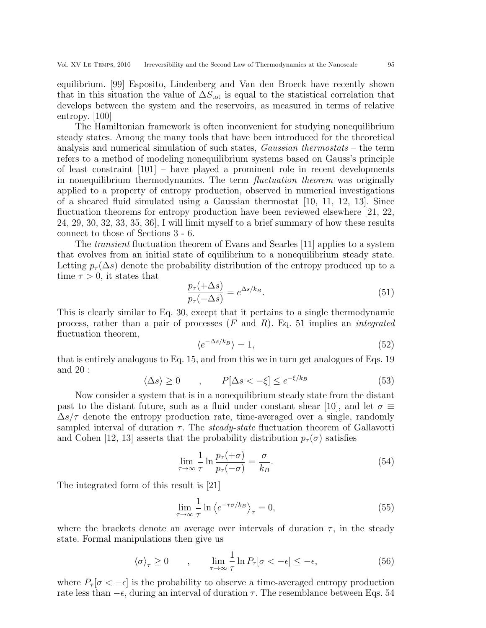equilibrium. [99] Esposito, Lindenberg and Van den Broeck have recently shown that in this situation the value of  $\Delta S_{\text{tot}}$  is equal to the statistical correlation that develops between the system and the reservoirs, as measured in terms of relative entropy. [100]

The Hamiltonian framework is often inconvenient for studying nonequilibrium steady states. Among the many tools that have been introduced for the theoretical analysis and numerical simulation of such states, Gaussian thermostats – the term refers to a method of modeling nonequilibrium systems based on Gauss's principle of least constraint [101] – have played a prominent role in recent developments in nonequilibrium thermodynamics. The term *fluctuation theorem* was originally applied to a property of entropy production, observed in numerical investigations of a sheared fluid simulated using a Gaussian thermostat [10, 11, 12, 13]. Since fluctuation theorems for entropy production have been reviewed elsewhere [21, 22, 24, 29, 30, 32, 33, 35, 36], I will limit myself to a brief summary of how these results connect to those of Sections 3 - 6.

The transient fluctuation theorem of Evans and Searles [11] applies to a system that evolves from an initial state of equilibrium to a nonequilibrium steady state. Letting  $p_{\tau}(\Delta s)$  denote the probability distribution of the entropy produced up to a time  $\tau > 0$ , it states that

$$
\frac{p_{\tau}(+\Delta s)}{p_{\tau}(-\Delta s)} = e^{\Delta s / k_B}.
$$
\n(51)

This is clearly similar to Eq. 30, except that it pertains to a single thermodynamic process, rather than a pair of processes  $(F \text{ and } R)$ . Eq. 51 implies an *integrated* fluctuation theorem,

$$
\langle e^{-\Delta s/k_B} \rangle = 1,\tag{52}
$$

that is entirely analogous to Eq. 15, and from this we in turn get analogues of Eqs. 19 and 20 :

$$
\langle \Delta s \rangle \ge 0 \qquad , \qquad P[\Delta s < -\xi] \le e^{-\xi/k_B} \tag{53}
$$

Now consider a system that is in a nonequilibrium steady state from the distant past to the distant future, such as a fluid under constant shear [10], and let  $\sigma \equiv$  $\Delta s/\tau$  denote the entropy production rate, time-averaged over a single, randomly sampled interval of duration  $\tau$ . The *steady-state* fluctuation theorem of Gallavotti and Cohen [12, 13] asserts that the probability distribution  $p_{\tau}(\sigma)$  satisfies

$$
\lim_{\tau \to \infty} \frac{1}{\tau} \ln \frac{p_{\tau}(+\sigma)}{p_{\tau}(-\sigma)} = \frac{\sigma}{k_B}.
$$
\n(54)

The integrated form of this result is [21]

$$
\lim_{\tau \to \infty} \frac{1}{\tau} \ln \left\langle e^{-\tau \sigma / k_B} \right\rangle_{\tau} = 0,
$$
\n(55)

where the brackets denote an average over intervals of duration  $\tau$ , in the steady state. Formal manipulations then give us

$$
\langle \sigma \rangle_{\tau} \ge 0 \qquad , \qquad \lim_{\tau \to \infty} \frac{1}{\tau} \ln P_{\tau} [\sigma < -\epsilon] \le -\epsilon, \tag{56}
$$

where  $P_{\tau}[\sigma < -\epsilon]$  is the probability to observe a time-averaged entropy production rate less than  $-\epsilon$ , during an interval of duration  $\tau$ . The resemblance between Eqs. 54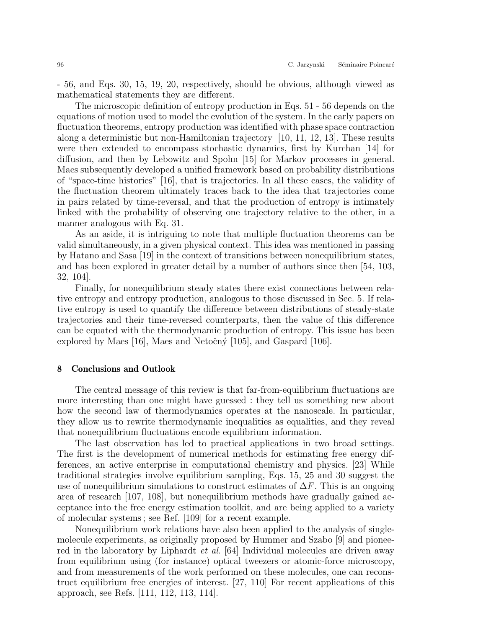- 56, and Eqs. 30, 15, 19, 20, respectively, should be obvious, although viewed as mathematical statements they are different.

The microscopic definition of entropy production in Eqs. 51 - 56 depends on the equations of motion used to model the evolution of the system. In the early papers on fluctuation theorems, entropy production was identified with phase space contraction along a deterministic but non-Hamiltonian trajectory [10, 11, 12, 13]. These results were then extended to encompass stochastic dynamics, first by Kurchan [14] for diffusion, and then by Lebowitz and Spohn [15] for Markov processes in general. Maes subsequently developed a unified framework based on probability distributions of "space-time histories" [16], that is trajectories. In all these cases, the validity of the fluctuation theorem ultimately traces back to the idea that trajectories come in pairs related by time-reversal, and that the production of entropy is intimately linked with the probability of observing one trajectory relative to the other, in a manner analogous with Eq. 31.

As an aside, it is intriguing to note that multiple fluctuation theorems can be valid simultaneously, in a given physical context. This idea was mentioned in passing by Hatano and Sasa [19] in the context of transitions between nonequilibrium states, and has been explored in greater detail by a number of authors since then [54, 103, 32, 104].

Finally, for nonequilibrium steady states there exist connections between relative entropy and entropy production, analogous to those discussed in Sec. 5. If relative entropy is used to quantify the difference between distributions of steady-state trajectories and their time-reversed counterparts, then the value of this difference can be equated with the thermodynamic production of entropy. This issue has been explored by Maes  $[16]$ , Maes and Netočný  $[105]$ , and Gaspard  $[106]$ .

## 8 Conclusions and Outlook

The central message of this review is that far-from-equilibrium fluctuations are more interesting than one might have guessed : they tell us something new about how the second law of thermodynamics operates at the nanoscale. In particular, they allow us to rewrite thermodynamic inequalities as equalities, and they reveal that nonequilibrium fluctuations encode equilibrium information.

The last observation has led to practical applications in two broad settings. The first is the development of numerical methods for estimating free energy differences, an active enterprise in computational chemistry and physics. [23] While traditional strategies involve equilibrium sampling, Eqs. 15, 25 and 30 suggest the use of nonequilibrium simulations to construct estimates of  $\Delta F$ . This is an ongoing area of research [107, 108], but nonequilibrium methods have gradually gained acceptance into the free energy estimation toolkit, and are being applied to a variety of molecular systems ; see Ref. [109] for a recent example.

Nonequilibrium work relations have also been applied to the analysis of singlemolecule experiments, as originally proposed by Hummer and Szabo [9] and pioneered in the laboratory by Liphardt et al. [64] Individual molecules are driven away from equilibrium using (for instance) optical tweezers or atomic-force microscopy, and from measurements of the work performed on these molecules, one can reconstruct equilibrium free energies of interest. [27, 110] For recent applications of this approach, see Refs. [111, 112, 113, 114].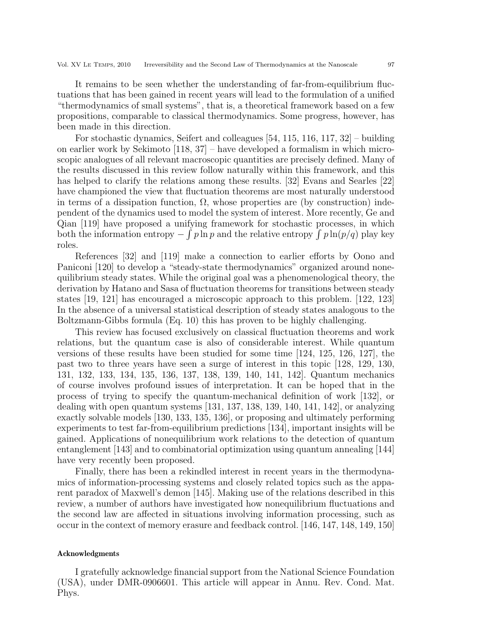It remains to be seen whether the understanding of far-from-equilibrium fluctuations that has been gained in recent years will lead to the formulation of a unified "thermodynamics of small systems", that is, a theoretical framework based on a few propositions, comparable to classical thermodynamics. Some progress, however, has been made in this direction.

For stochastic dynamics, Seifert and colleagues [54, 115, 116, 117, 32] – building on earlier work by Sekimoto [118, 37] – have developed a formalism in which microscopic analogues of all relevant macroscopic quantities are precisely defined. Many of the results discussed in this review follow naturally within this framework, and this has helped to clarify the relations among these results. [32] Evans and Searles [22] have championed the view that fluctuation theorems are most naturally understood in terms of a dissipation function,  $\Omega$ , whose properties are (by construction) independent of the dynamics used to model the system of interest. More recently, Ge and Qian [119] have proposed a unifying framework for stochastic processes, in which both the information entropy  $-\int p \ln p$  and the relative entropy  $\int p \ln(p/q)$  play key roles.

References [32] and [119] make a connection to earlier efforts by Oono and Paniconi [120] to develop a "steady-state thermodynamics" organized around nonequilibrium steady states. While the original goal was a phenomenological theory, the derivation by Hatano and Sasa of fluctuation theorems for transitions between steady states [19, 121] has encouraged a microscopic approach to this problem. [122, 123] In the absence of a universal statistical description of steady states analogous to the Boltzmann-Gibbs formula (Eq. 10) this has proven to be highly challenging.

This review has focused exclusively on classical fluctuation theorems and work relations, but the quantum case is also of considerable interest. While quantum versions of these results have been studied for some time [124, 125, 126, 127], the past two to three years have seen a surge of interest in this topic [128, 129, 130, 131, 132, 133, 134, 135, 136, 137, 138, 139, 140, 141, 142]. Quantum mechanics of course involves profound issues of interpretation. It can be hoped that in the process of trying to specify the quantum-mechanical definition of work [132], or dealing with open quantum systems [131, 137, 138, 139, 140, 141, 142], or analyzing exactly solvable models [130, 133, 135, 136], or proposing and ultimately performing experiments to test far-from-equilibrium predictions [134], important insights will be gained. Applications of nonequilibrium work relations to the detection of quantum entanglement [143] and to combinatorial optimization using quantum annealing [144] have very recently been proposed.

Finally, there has been a rekindled interest in recent years in the thermodynamics of information-processing systems and closely related topics such as the apparent paradox of Maxwell's demon [145]. Making use of the relations described in this review, a number of authors have investigated how nonequilibrium fluctuations and the second law are affected in situations involving information processing, such as occur in the context of memory erasure and feedback control. [146, 147, 148, 149, 150]

# Acknowledgments

I gratefully acknowledge financial support from the National Science Foundation (USA), under DMR-0906601. This article will appear in Annu. Rev. Cond. Mat. Phys.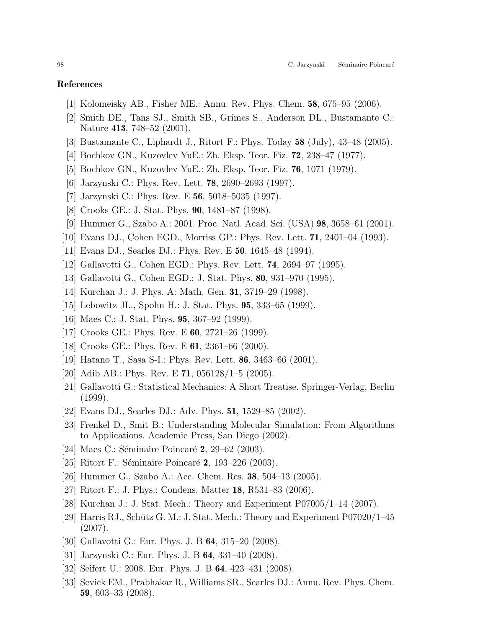# References

- [1] Kolomeisky AB., Fisher ME.: Annu. Rev. Phys. Chem. 58, 675–95 (2006).
- [2] Smith DE., Tans SJ., Smith SB., Grimes S., Anderson DL., Bustamante C.: Nature 413, 748–52 (2001).
- [3] Bustamante C., Liphardt J., Ritort F.: Phys. Today 58 (July), 43–48 (2005).
- [4] Bochkov GN., Kuzovlev YuE.: Zh. Eksp. Teor. Fiz. 72, 238–47 (1977).
- [5] Bochkov GN., Kuzovlev YuE.: Zh. Eksp. Teor. Fiz. 76, 1071 (1979).
- [6] Jarzynski C.: Phys. Rev. Lett. 78, 2690–2693 (1997).
- [7] Jarzynski C.: Phys. Rev. E 56, 5018–5035 (1997).
- [8] Crooks GE.: J. Stat. Phys. 90, 1481–87 (1998).
- [9] Hummer G., Szabo A.: 2001. Proc. Natl. Acad. Sci. (USA) 98, 3658–61 (2001).
- [10] Evans DJ., Cohen EGD., Morriss GP.: Phys. Rev. Lett. 71, 2401–04 (1993).
- [11] Evans DJ., Searles DJ.: Phys. Rev. E 50, 1645–48 (1994).
- [12] Gallavotti G., Cohen EGD.: Phys. Rev. Lett. 74, 2694–97 (1995).
- [13] Gallavotti G., Cohen EGD.: J. Stat. Phys. 80, 931–970 (1995).
- [14] Kurchan J.: J. Phys. A: Math. Gen. 31, 3719–29 (1998).
- [15] Lebowitz JL., Spohn H.: J. Stat. Phys. 95, 333–65 (1999).
- [16] Maes C.: J. Stat. Phys. 95, 367–92 (1999).
- [17] Crooks GE.: Phys. Rev. E **60**, 2721–26 (1999).
- [18] Crooks GE.: Phys. Rev. E **61**, 2361–66 (2000).
- [19] Hatano T., Sasa S-I.: Phys. Rev. Lett. 86, 3463–66 (2001).
- [20] Adib AB.: Phys. Rev. E 71,  $056128/1-5$  (2005).
- [21] Gallavotti G.: Statistical Mechanics: A Short Treatise. Springer-Verlag, Berlin (1999).
- [22] Evans DJ., Searles DJ.: Adv. Phys. 51, 1529–85 (2002).
- [23] Frenkel D., Smit B.: Understanding Molecular Simulation: From Algorithms to Applications. Academic Press, San Diego (2002).
- [24] Maes C.: Séminaire Poincaré 2, 29–62 (2003).
- [25] Ritort F.: Séminaire Poincaré 2, 193–226 (2003).
- [26] Hummer G., Szabo A.: Acc. Chem. Res. 38, 504–13 (2005).
- [27] Ritort F.: J. Phys.: Condens. Matter **18**, R531–83 (2006).
- [28] Kurchan J.: J. Stat. Mech.: Theory and Experiment P07005/1–14 (2007).
- [29] Harris RJ., Schütz G. M.: J. Stat. Mech.: Theory and Experiment  $P07020/1-45$ (2007).
- [30] Gallavotti G.: Eur. Phys. J. B 64, 315–20 (2008).
- [31] Jarzynski C.: Eur. Phys. J. B 64, 331–40 (2008).
- [32] Seifert U.: 2008. Eur. Phys. J. B 64, 423–431 (2008).
- [33] Sevick EM., Prabhakar R., Williams SR., Searles DJ.: Annu. Rev. Phys. Chem. 59, 603–33 (2008).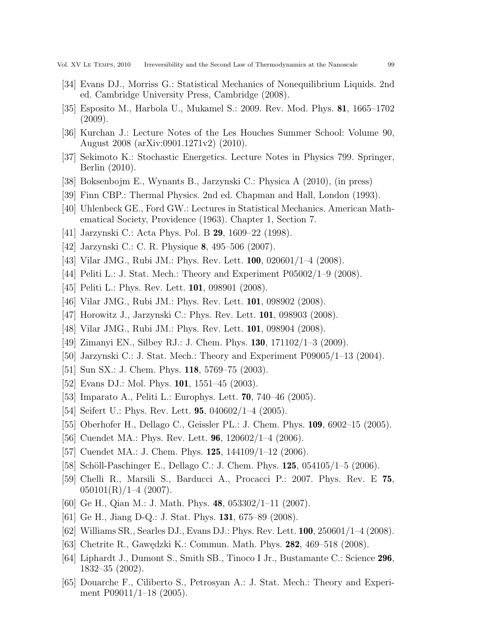- [34] Evans DJ., Morriss G.: Statistical Mechanics of Nonequilibrium Liquids. 2nd ed. Cambridge University Press, Cambridge (2008).
- [35] Esposito M., Harbola U., Mukamel S.: 2009. Rev. Mod. Phys. 81, 1665–1702 (2009).
- [36] Kurchan J.: Lecture Notes of the Les Houches Summer School: Volume 90, August 2008 (arXiv:0901.1271v2) (2010).
- [37] Sekimoto K.: Stochastic Energetics. Lecture Notes in Physics 799. Springer, Berlin (2010).
- [38] Boksenbojm E., Wynants B., Jarzynski C.: Physica A (2010), (in press)
- [39] Finn CBP.: Thermal Physics. 2nd ed. Chapman and Hall, London (1993).
- [40] Uhlenbeck GE., Ford GW.: Lectures in Statistical Mechanics. American Mathematical Society, Providence (1963). Chapter 1, Section 7.
- [41] Jarzynski C.: Acta Phys. Pol. B 29, 1609–22 (1998).
- [42] Jarzynski C.: C. R. Physique 8, 495–506 (2007).
- [43] Vilar JMG., Rubi JM.: Phys. Rev. Lett. 100, 020601/1–4 (2008).
- [44] Peliti L.: J. Stat. Mech.: Theory and Experiment P05002/1–9 (2008).
- [45] Peliti L.: Phys. Rev. Lett. **101**, 098901 (2008).
- [46] Vilar JMG., Rubi JM.: Phys. Rev. Lett. **101**, 098902 (2008).
- [47] Horowitz J., Jarzynski C.: Phys. Rev. Lett. 101, 098903 (2008).
- [48] Vilar JMG., Rubi JM.: Phys. Rev. Lett. 101, 098904 (2008).
- [49] Zimanyi EN., Silbey RJ.: J. Chem. Phys. 130, 171102/1–3 (2009).
- [50] Jarzynski C.: J. Stat. Mech.: Theory and Experiment P09005/1–13 (2004).
- [51] Sun SX.: J. Chem. Phys. **118**, 5769–75 (2003).
- [52] Evans DJ.: Mol. Phys. **101**, 1551–45 (2003).
- [53] Imparato A., Peliti L.: Europhys. Lett. 70, 740–46 (2005).
- [54] Seifert U.: Phys. Rev. Lett. **95**, 040602/1–4 (2005).
- [55] Oberhofer H., Dellago C., Geissler PL.: J. Chem. Phys. 109, 6902–15 (2005).
- [56] Cuendet MA.: Phys. Rev. Lett. **96**,  $120602/1-4$  (2006).
- [57] Cuendet MA.: J. Chem. Phys. **125**, 144109/1-12 (2006).
- [58] Schöll-Paschinger E., Dellago C.: J. Chem. Phys.  $125, 054105/1-5$  (2006).
- [59] Chelli R., Marsili S., Barducci A., Procacci P.: 2007. Phys. Rev. E 75,  $050101(R)/1-4$  (2007).
- [60] Ge H., Qian M.: J. Math. Phys. 48, 053302/1–11 (2007).
- [61] Ge H., Jiang D-Q.: J. Stat. Phys. 131, 675–89 (2008).
- [62] Williams SR., Searles DJ., Evans DJ.: Phys. Rev. Lett. 100, 250601/1–4 (2008).
- [63] Chetrite R., Gawędzki K.: Commun. Math. Phys. **282**, 469–518 (2008).
- [64] Liphardt J., Dumont S., Smith SB., Tinoco I Jr., Bustamante C.: Science 296, 1832–35 (2002).
- [65] Douarche F., Ciliberto S., Petrosyan A.: J. Stat. Mech.: Theory and Experiment P09011/1–18 (2005).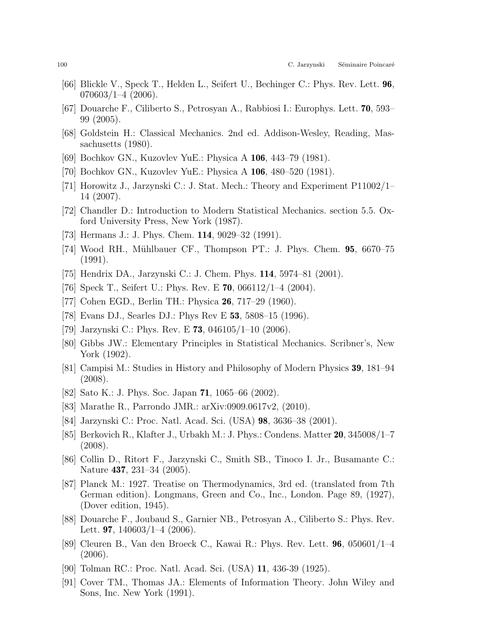- [66] Blickle V., Speck T., Helden L., Seifert U., Bechinger C.: Phys. Rev. Lett. 96,  $070603/1 - 4$  (2006).
- [67] Douarche F., Ciliberto S., Petrosyan A., Rabbiosi I.: Europhys. Lett. 70, 593– 99 (2005).
- [68] Goldstein H.: Classical Mechanics. 2nd ed. Addison-Wesley, Reading, Massachusetts (1980).
- [69] Bochkov GN., Kuzovlev YuE.: Physica A 106, 443–79 (1981).
- [70] Bochkov GN., Kuzovlev YuE.: Physica A 106, 480–520 (1981).
- [71] Horowitz J., Jarzynski C.: J. Stat. Mech.: Theory and Experiment P11002/1– 14 (2007).
- [72] Chandler D.: Introduction to Modern Statistical Mechanics. section 5.5. Oxford University Press, New York (1987).
- [73] Hermans J.: J. Phys. Chem. 114, 9029–32 (1991).
- [74] Wood RH., Mühlbauer CF., Thompson PT.: J. Phys. Chem. **95**, 6670–75 (1991).
- [75] Hendrix DA., Jarzynski C.: J. Chem. Phys. 114, 5974–81 (2001).
- [76] Speck T., Seifert U.: Phys. Rev. E **70**,  $066112/1-4$  (2004).
- [77] Cohen EGD., Berlin TH.: Physica 26, 717–29 (1960).
- [78] Evans DJ., Searles DJ.: Phys Rev E 53, 5808–15 (1996).
- [79] Jarzynski C.: Phys. Rev. E **73**,  $046105/1-10$  (2006).
- [80] Gibbs JW.: Elementary Principles in Statistical Mechanics. Scribner's, New York (1902).
- [81] Campisi M.: Studies in History and Philosophy of Modern Physics 39, 181–94 (2008).
- [82] Sato K.: J. Phys. Soc. Japan 71, 1065–66 (2002).
- [83] Marathe R., Parrondo JMR.: arXiv:0909.0617v2, (2010).
- [84] Jarzynski C.: Proc. Natl. Acad. Sci. (USA) 98, 3636–38 (2001).
- [85] Berkovich R., Klafter J., Urbakh M.: J. Phys.: Condens. Matter 20, 345008/1–7 (2008).
- [86] Collin D., Ritort F., Jarzynski C., Smith SB., Tinoco I. Jr., Busamante C.: Nature 437, 231–34 (2005).
- [87] Planck M.: 1927. Treatise on Thermodynamics, 3rd ed. (translated from 7th German edition). Longmans, Green and Co., Inc., London. Page 89, (1927), (Dover edition, 1945).
- [88] Douarche F., Joubaud S., Garnier NB., Petrosyan A., Ciliberto S.: Phys. Rev. Lett. **97**,  $140603/1-4$  (2006).
- [89] Cleuren B., Van den Broeck C., Kawai R.: Phys. Rev. Lett. 96, 050601/1–4 (2006).
- [90] Tolman RC.: Proc. Natl. Acad. Sci. (USA) 11, 436-39 (1925).
- [91] Cover TM., Thomas JA.: Elements of Information Theory. John Wiley and Sons, Inc. New York (1991).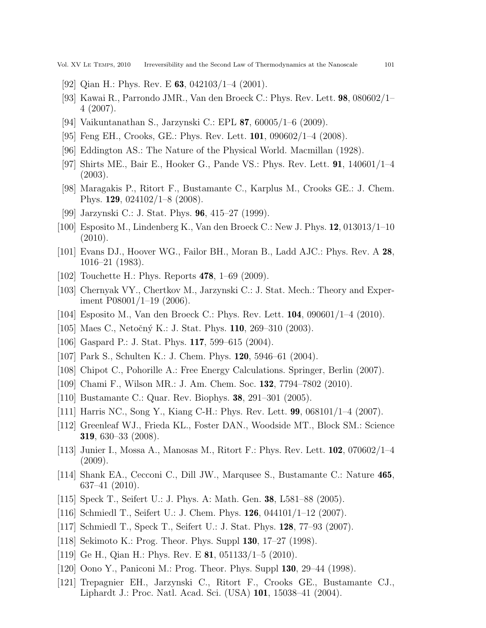- [92] Qian H.: Phys. Rev. E **63**, 042103/1–4 (2001).
- [93] Kawai R., Parrondo JMR., Van den Broeck C.: Phys. Rev. Lett. 98, 080602/1– 4 (2007).
- [94] Vaikuntanathan S., Jarzynski C.: EPL 87, 60005/1–6 (2009).
- [95] Feng EH., Crooks, GE.: Phys. Rev. Lett. 101, 090602/1–4 (2008).
- [96] Eddington AS.: The Nature of the Physical World. Macmillan (1928).
- [97] Shirts ME., Bair E., Hooker G., Pande VS.: Phys. Rev. Lett. 91, 140601/1–4 (2003).
- [98] Maragakis P., Ritort F., Bustamante C., Karplus M., Crooks GE.: J. Chem. Phys. 129, 024102/1–8 (2008).
- [99] Jarzynski C.: J. Stat. Phys. 96, 415–27 (1999).
- [100] Esposito M., Lindenberg K., Van den Broeck C.: New J. Phys. 12, 013013/1–10 (2010).
- [101] Evans DJ., Hoover WG., Failor BH., Moran B., Ladd AJC.: Phys. Rev. A 28, 1016–21 (1983).
- [102] Touchette H.: Phys. Reports 478, 1–69 (2009).
- [103] Chernyak VY., Chertkov M., Jarzynski C.: J. Stat. Mech.: Theory and Experiment P08001/1–19 (2006).
- [104] Esposito M., Van den Broeck C.: Phys. Rev. Lett. 104, 090601/1–4 (2010).
- [105] Maes C., Netočný K.: J. Stat. Phys. **110**, 269–310 (2003).
- [106] Gaspard P.: J. Stat. Phys. 117, 599–615 (2004).
- [107] Park S., Schulten K.: J. Chem. Phys. 120, 5946–61 (2004).
- [108] Chipot C., Pohorille A.: Free Energy Calculations. Springer, Berlin (2007).
- [109] Chami F., Wilson MR.: J. Am. Chem. Soc. 132, 7794–7802 (2010).
- [110] Bustamante C.: Quar. Rev. Biophys. 38, 291–301 (2005).
- [111] Harris NC., Song Y., Kiang C-H.: Phys. Rev. Lett. 99, 068101/1–4 (2007).
- [112] Greenleaf WJ., Frieda KL., Foster DAN., Woodside MT., Block SM.: Science 319, 630–33 (2008).
- [113] Junier I., Mossa A., Manosas M., Ritort F.: Phys. Rev. Lett. 102, 070602/1–4 (2009).
- [114] Shank EA., Cecconi C., Dill JW., Marqusee S., Bustamante C.: Nature 465, 637–41 (2010).
- [115] Speck T., Seifert U.: J. Phys. A: Math. Gen. 38, L581–88 (2005).
- [116] Schmiedl T., Seifert U.: J. Chem. Phys. 126, 044101/1–12 (2007).
- [117] Schmiedl T., Speck T., Seifert U.: J. Stat. Phys. 128, 77–93 (2007).
- [118] Sekimoto K.: Prog. Theor. Phys. Suppl 130, 17–27 (1998).
- [119] Ge H., Qian H.: Phys. Rev. E 81, 051133/1–5 (2010).
- [120] Oono Y., Paniconi M.: Prog. Theor. Phys. Suppl 130, 29–44 (1998).
- [121] Trepagnier EH., Jarzynski C., Ritort F., Crooks GE., Bustamante CJ., Liphardt J.: Proc. Natl. Acad. Sci. (USA) 101, 15038–41 (2004).